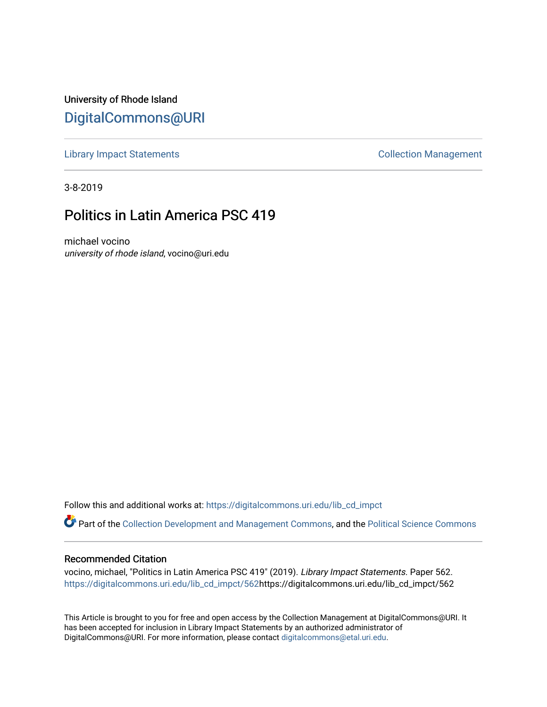University of Rhode Island [DigitalCommons@URI](https://digitalcommons.uri.edu/) 

[Library Impact Statements](https://digitalcommons.uri.edu/lib_cd_impct) **Collection Management** 

3-8-2019

# Politics in Latin America PSC 419

michael vocino university of rhode island, vocino@uri.edu

Follow this and additional works at: [https://digitalcommons.uri.edu/lib\\_cd\\_impct](https://digitalcommons.uri.edu/lib_cd_impct?utm_source=digitalcommons.uri.edu%2Flib_cd_impct%2F562&utm_medium=PDF&utm_campaign=PDFCoverPages) 

Part of the [Collection Development and Management Commons,](http://network.bepress.com/hgg/discipline/1271?utm_source=digitalcommons.uri.edu%2Flib_cd_impct%2F562&utm_medium=PDF&utm_campaign=PDFCoverPages) and the [Political Science Commons](http://network.bepress.com/hgg/discipline/386?utm_source=digitalcommons.uri.edu%2Flib_cd_impct%2F562&utm_medium=PDF&utm_campaign=PDFCoverPages)

#### Recommended Citation

vocino, michael, "Politics in Latin America PSC 419" (2019). Library Impact Statements. Paper 562. [https://digitalcommons.uri.edu/lib\\_cd\\_impct/562](https://digitalcommons.uri.edu/lib_cd_impct/562?utm_source=digitalcommons.uri.edu%2Flib_cd_impct%2F562&utm_medium=PDF&utm_campaign=PDFCoverPages)https://digitalcommons.uri.edu/lib\_cd\_impct/562

This Article is brought to you for free and open access by the Collection Management at DigitalCommons@URI. It has been accepted for inclusion in Library Impact Statements by an authorized administrator of DigitalCommons@URI. For more information, please contact [digitalcommons@etal.uri.edu.](mailto:digitalcommons@etal.uri.edu)